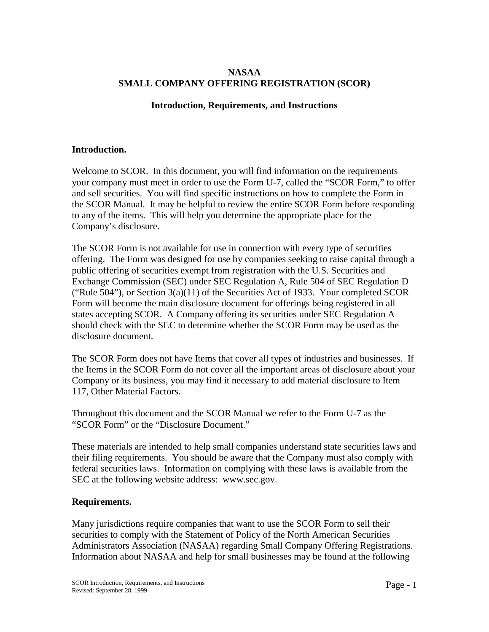## **NASAA SMALL COMPANY OFFERING REGISTRATION (SCOR)**

## **Introduction, Requirements, and Instructions**

### **Introduction.**

Welcome to SCOR. In this document, you will find information on the requirements your company must meet in order to use the Form U-7, called the "SCOR Form," to offer and sell securities. You will find specific instructions on how to complete the Form in the SCOR Manual. It may be helpful to review the entire SCOR Form before responding to any of the items. This will help you determine the appropriate place for the Company's disclosure.

The SCOR Form is not available for use in connection with every type of securities offering. The Form was designed for use by companies seeking to raise capital through a public offering of securities exempt from registration with the U.S. Securities and Exchange Commission (SEC) under SEC Regulation A, Rule 504 of SEC Regulation D ("Rule 504"), or Section  $3(a)(11)$  of the Securities Act of 1933. Your completed SCOR Form will become the main disclosure document for offerings being registered in all states accepting SCOR. A Company offering its securities under SEC Regulation A should check with the SEC to determine whether the SCOR Form may be used as the disclosure document.

The SCOR Form does not have Items that cover all types of industries and businesses. If the Items in the SCOR Form do not cover all the important areas of disclosure about your Company or its business, you may find it necessary to add material disclosure to Item 117, Other Material Factors.

Throughout this document and the SCOR Manual we refer to the Form U-7 as the "SCOR Form" or the "Disclosure Document."

These materials are intended to help small companies understand state securities laws and their filing requirements. You should be aware that the Company must also comply with federal securities laws. Information on complying with these laws is available from the SEC at the following website address: www.sec.gov.

### **Requirements.**

Many jurisdictions require companies that want to use the SCOR Form to sell their securities to comply with the Statement of Policy of the North American Securities Administrators Association (NASAA) regarding Small Company Offering Registrations. Information about NASAA and help for small businesses may be found at the following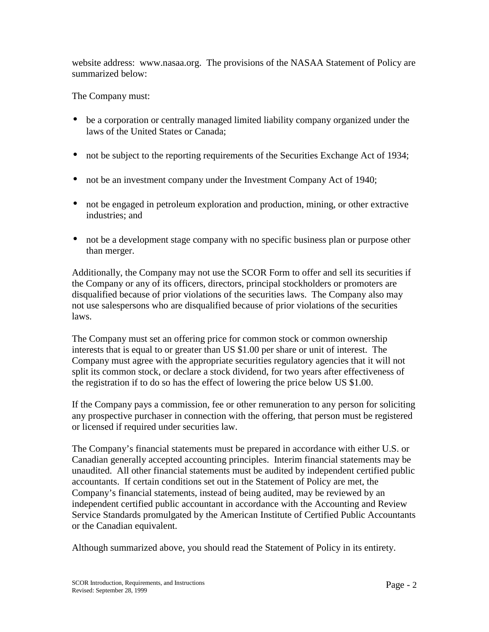website address: www.nasaa.org. The provisions of the NASAA Statement of Policy are summarized below:

The Company must:

- be a corporation or centrally managed limited liability company organized under the laws of the United States or Canada;
- not be subject to the reporting requirements of the Securities Exchange Act of 1934;
- not be an investment company under the Investment Company Act of 1940;
- not be engaged in petroleum exploration and production, mining, or other extractive industries; and
- not be a development stage company with no specific business plan or purpose other than merger.

Additionally, the Company may not use the SCOR Form to offer and sell its securities if the Company or any of its officers, directors, principal stockholders or promoters are disqualified because of prior violations of the securities laws. The Company also may not use salespersons who are disqualified because of prior violations of the securities laws.

The Company must set an offering price for common stock or common ownership interests that is equal to or greater than US \$1.00 per share or unit of interest. The Company must agree with the appropriate securities regulatory agencies that it will not split its common stock, or declare a stock dividend, for two years after effectiveness of the registration if to do so has the effect of lowering the price below US \$1.00.

If the Company pays a commission, fee or other remuneration to any person for soliciting any prospective purchaser in connection with the offering, that person must be registered or licensed if required under securities law.

The Company's financial statements must be prepared in accordance with either U.S. or Canadian generally accepted accounting principles. Interim financial statements may be unaudited. All other financial statements must be audited by independent certified public accountants. If certain conditions set out in the Statement of Policy are met, the Company's financial statements, instead of being audited, may be reviewed by an independent certified public accountant in accordance with the Accounting and Review Service Standards promulgated by the American Institute of Certified Public Accountants or the Canadian equivalent.

Although summarized above, you should read the Statement of Policy in its entirety.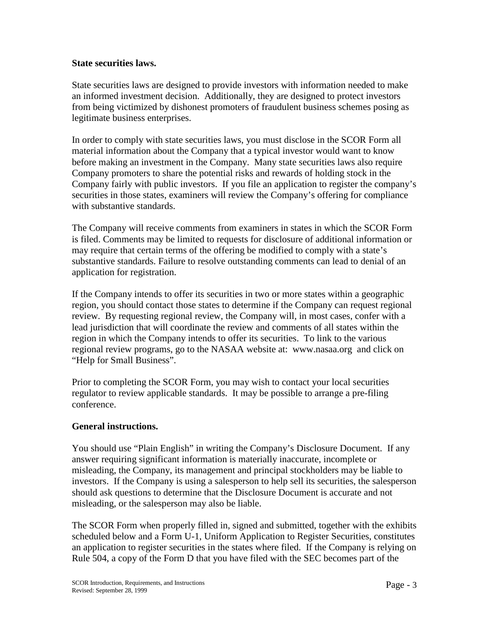### **State securities laws.**

State securities laws are designed to provide investors with information needed to make an informed investment decision. Additionally, they are designed to protect investors from being victimized by dishonest promoters of fraudulent business schemes posing as legitimate business enterprises.

In order to comply with state securities laws, you must disclose in the SCOR Form all material information about the Company that a typical investor would want to know before making an investment in the Company. Many state securities laws also require Company promoters to share the potential risks and rewards of holding stock in the Company fairly with public investors. If you file an application to register the company's securities in those states, examiners will review the Company's offering for compliance with substantive standards.

The Company will receive comments from examiners in states in which the SCOR Form is filed. Comments may be limited to requests for disclosure of additional information or may require that certain terms of the offering be modified to comply with a state's substantive standards. Failure to resolve outstanding comments can lead to denial of an application for registration.

If the Company intends to offer its securities in two or more states within a geographic region, you should contact those states to determine if the Company can request regional review. By requesting regional review, the Company will, in most cases, confer with a lead jurisdiction that will coordinate the review and comments of all states within the region in which the Company intends to offer its securities. To link to the various regional review programs, go to the NASAA website at: www.nasaa.org and click on "Help for Small Business".

Prior to completing the SCOR Form, you may wish to contact your local securities regulator to review applicable standards. It may be possible to arrange a pre-filing conference.

# **General instructions.**

You should use "Plain English" in writing the Company's Disclosure Document. If any answer requiring significant information is materially inaccurate, incomplete or misleading, the Company, its management and principal stockholders may be liable to investors. If the Company is using a salesperson to help sell its securities, the salesperson should ask questions to determine that the Disclosure Document is accurate and not misleading, or the salesperson may also be liable.

The SCOR Form when properly filled in, signed and submitted, together with the exhibits scheduled below and a Form U-1, Uniform Application to Register Securities, constitutes an application to register securities in the states where filed. If the Company is relying on Rule 504, a copy of the Form D that you have filed with the SEC becomes part of the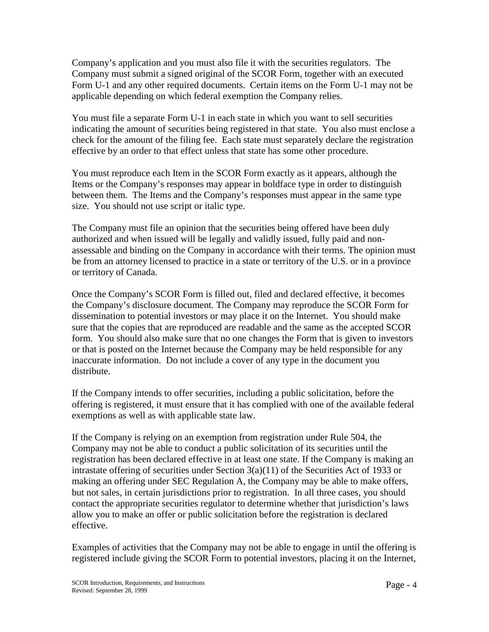Company's application and you must also file it with the securities regulators. The Company must submit a signed original of the SCOR Form, together with an executed Form U-1 and any other required documents. Certain items on the Form U-1 may not be applicable depending on which federal exemption the Company relies.

You must file a separate Form U-1 in each state in which you want to sell securities indicating the amount of securities being registered in that state. You also must enclose a check for the amount of the filing fee. Each state must separately declare the registration effective by an order to that effect unless that state has some other procedure.

You must reproduce each Item in the SCOR Form exactly as it appears, although the Items or the Company's responses may appear in boldface type in order to distinguish between them. The Items and the Company's responses must appear in the same type size. You should not use script or italic type.

The Company must file an opinion that the securities being offered have been duly authorized and when issued will be legally and validly issued, fully paid and nonassessable and binding on the Company in accordance with their terms. The opinion must be from an attorney licensed to practice in a state or territory of the U.S. or in a province or territory of Canada.

Once the Company's SCOR Form is filled out, filed and declared effective, it becomes the Company's disclosure document. The Company may reproduce the SCOR Form for dissemination to potential investors or may place it on the Internet. You should make sure that the copies that are reproduced are readable and the same as the accepted SCOR form. You should also make sure that no one changes the Form that is given to investors or that is posted on the Internet because the Company may be held responsible for any inaccurate information. Do not include a cover of any type in the document you distribute.

If the Company intends to offer securities, including a public solicitation, before the offering is registered, it must ensure that it has complied with one of the available federal exemptions as well as with applicable state law.

If the Company is relying on an exemption from registration under Rule 504, the Company may not be able to conduct a public solicitation of its securities until the registration has been declared effective in at least one state. If the Company is making an intrastate offering of securities under Section  $3(a)(11)$  of the Securities Act of 1933 or making an offering under SEC Regulation A, the Company may be able to make offers, but not sales, in certain jurisdictions prior to registration. In all three cases, you should contact the appropriate securities regulator to determine whether that jurisdiction's laws allow you to make an offer or public solicitation before the registration is declared effective.

Examples of activities that the Company may not be able to engage in until the offering is registered include giving the SCOR Form to potential investors, placing it on the Internet,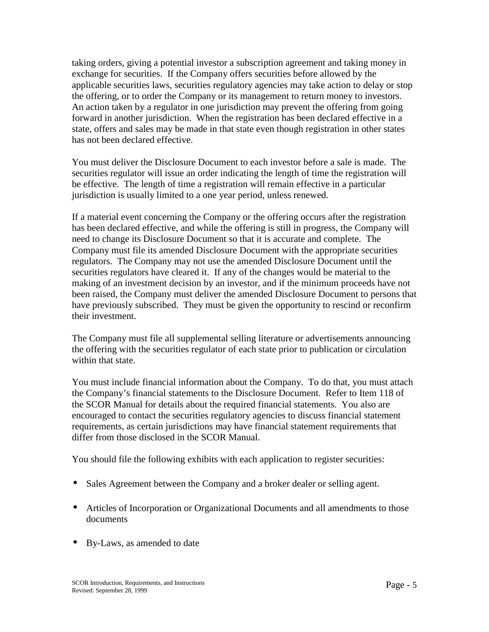taking orders, giving a potential investor a subscription agreement and taking money in exchange for securities. If the Company offers securities before allowed by the applicable securities laws, securities regulatory agencies may take action to delay or stop the offering, or to order the Company or its management to return money to investors. An action taken by a regulator in one jurisdiction may prevent the offering from going forward in another jurisdiction. When the registration has been declared effective in a state, offers and sales may be made in that state even though registration in other states has not been declared effective.

You must deliver the Disclosure Document to each investor before a sale is made. The securities regulator will issue an order indicating the length of time the registration will be effective. The length of time a registration will remain effective in a particular jurisdiction is usually limited to a one year period, unless renewed.

If a material event concerning the Company or the offering occurs after the registration has been declared effective, and while the offering is still in progress, the Company will need to change its Disclosure Document so that it is accurate and complete. The Company must file its amended Disclosure Document with the appropriate securities regulators. The Company may not use the amended Disclosure Document until the securities regulators have cleared it. If any of the changes would be material to the making of an investment decision by an investor, and if the minimum proceeds have not been raised, the Company must deliver the amended Disclosure Document to persons that have previously subscribed. They must be given the opportunity to rescind or reconfirm their investment.

The Company must file all supplemental selling literature or advertisements announcing the offering with the securities regulator of each state prior to publication or circulation within that state.

You must include financial information about the Company. To do that, you must attach the Company's financial statements to the Disclosure Document. Refer to Item 118 of the SCOR Manual for details about the required financial statements. You also are encouraged to contact the securities regulatory agencies to discuss financial statement requirements, as certain jurisdictions may have financial statement requirements that differ from those disclosed in the SCOR Manual.

You should file the following exhibits with each application to register securities:

- Sales Agreement between the Company and a broker dealer or selling agent.
- Articles of Incorporation or Organizational Documents and all amendments to those documents
- By-Laws, as amended to date